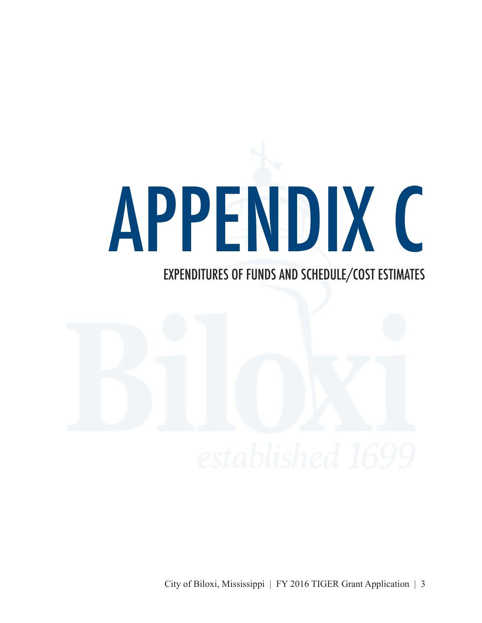## APPENDIX C

## EXPENDITURES OF FUNDS AND SCHEDULE/COST ESTIMATES



City of Biloxi, Mississippi | FY 2016 TIGER Grant Application | 3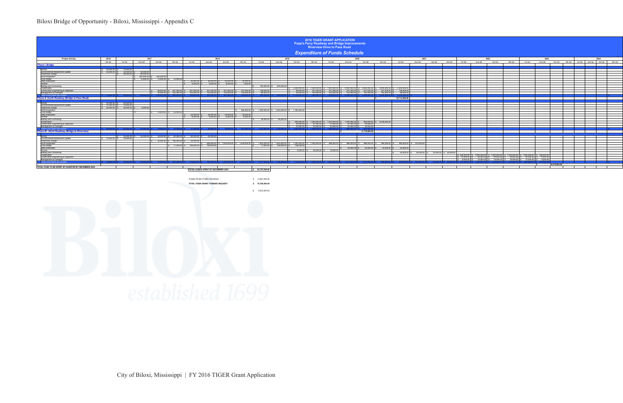## Biloxi Bridge of Opportunity - Biloxi, Mississippi - Appendix C

FUNDS FROM OTHER SOURCES

**TOTAL TIGER GRANT FUNDING REQUEST** 

| <b>2016 TIGER GRANT APPLICATION</b><br><b>Popp's Ferry Roadway and Bridge Improvements</b><br><b>Riverview Drive to Pass Road</b>                                  |             |                                     |                                                               |          |                                                                                                             |                 |                                                     |                         |            |                                                     |                        |                 |                                                                                                                               |                                            |                                        |                        |                                                                                                                                                                                                                                                                                                                                      |                        |                         |                       |              |                                                                                         |                                                           |         |                                                                                                         |               |  |                                                         |
|--------------------------------------------------------------------------------------------------------------------------------------------------------------------|-------------|-------------------------------------|---------------------------------------------------------------|----------|-------------------------------------------------------------------------------------------------------------|-----------------|-----------------------------------------------------|-------------------------|------------|-----------------------------------------------------|------------------------|-----------------|-------------------------------------------------------------------------------------------------------------------------------|--------------------------------------------|----------------------------------------|------------------------|--------------------------------------------------------------------------------------------------------------------------------------------------------------------------------------------------------------------------------------------------------------------------------------------------------------------------------------|------------------------|-------------------------|-----------------------|--------------|-----------------------------------------------------------------------------------------|-----------------------------------------------------------|---------|---------------------------------------------------------------------------------------------------------|---------------|--|---------------------------------------------------------|
|                                                                                                                                                                    |             |                                     |                                                               |          |                                                                                                             |                 |                                                     |                         |            |                                                     |                        |                 | <b>Expenditure of Funds Schedule</b>                                                                                          |                                            |                                        |                        |                                                                                                                                                                                                                                                                                                                                      |                        |                         |                       |              |                                                                                         |                                                           |         |                                                                                                         |               |  |                                                         |
| <b>Project Activity</b>                                                                                                                                            | 2016        |                                     | 2017                                                          |          |                                                                                                             |                 |                                                     | 2018                    |            |                                                     | 2019                   |                 |                                                                                                                               |                                            | 2020                                   |                        |                                                                                                                                                                                                                                                                                                                                      |                        | 2021                    |                       |              |                                                                                         | 2022                                                      |         |                                                                                                         | 2023          |  | 2024                                                    |
|                                                                                                                                                                    | 4th Qtr     | 1st Qtr                             | 2nd Qtr                                                       | 3rd Qtr  | 4th Qtr                                                                                                     | 1st Qtr         | 2nd Qtr                                             | 3rd Otr                 | 4th Otr    | 1st Qtr                                             | 2nd Qtr                | 3rd Otr         | 4th Otr                                                                                                                       | 1st Qtr                                    | 2nd Qtr                                | 3rd Qtr                | 4th Qtr                                                                                                                                                                                                                                                                                                                              | 1st Qtr                | 2nd Qtr                 | 3rd Otr               | 4th Qtr      | 1st Qtr<br>2nd Otr                                                                      | 3rd Qtr                                                   | 4th Otr | 1st Qtr                                                                                                 |               |  | 2nd Qtr 3rd Qtr 4th Qtr 1st Qtr 2nd Qtr 3rd Qtr 4th Qtr |
| <b>Phase I-Bridge</b>                                                                                                                                              |             |                                     |                                                               |          |                                                                                                             |                 |                                                     |                         |            |                                                     |                        |                 |                                                                                                                               |                                            |                                        |                        |                                                                                                                                                                                                                                                                                                                                      |                        |                         |                       |              |                                                                                         |                                                           |         |                                                                                                         |               |  |                                                         |
|                                                                                                                                                                    |             |                                     |                                                               |          |                                                                                                             |                 |                                                     |                         |            |                                                     |                        |                 |                                                                                                                               |                                            |                                        |                        |                                                                                                                                                                                                                                                                                                                                      |                        |                         |                       |              |                                                                                         |                                                           |         |                                                                                                         |               |  |                                                         |
| Survey                                                                                                                                                             |             | 50,000.00 \$ 15,000.                |                                                               |          |                                                                                                             |                 |                                                     |                         |            |                                                     |                        |                 |                                                                                                                               |                                            |                                        |                        |                                                                                                                                                                                                                                                                                                                                      |                        |                         |                       |              |                                                                                         |                                                           |         |                                                                                                         |               |  |                                                         |
| Envrinomental Assessment Update                                                                                                                                    | 25,000.00   | 0 \$ 25,000.0                       | 50.00                                                         |          |                                                                                                             |                 |                                                     |                         |            |                                                     |                        |                 |                                                                                                                               |                                            |                                        |                        |                                                                                                                                                                                                                                                                                                                                      |                        |                         |                       |              |                                                                                         |                                                           |         |                                                                                                         |               |  |                                                         |
| Preliminary Design<br>ROW Acquisition<br>Final Design<br>Utility Relocation                                                                                        |             | $S = 26,000.00$                     | 80.00                                                         |          |                                                                                                             |                 |                                                     |                         |            |                                                     |                        |                 |                                                                                                                               |                                            |                                        |                        |                                                                                                                                                                                                                                                                                                                                      |                        |                         |                       |              |                                                                                         |                                                           |         |                                                                                                         |               |  |                                                         |
|                                                                                                                                                                    |             |                                     | 500,00                                                        |          | $\begin{array}{r rrrrr} & \bullet & 500,000.00 \\ \hline & 75,000.00 & 5 & 75,000.00 \\ \hline \end{array}$ |                 |                                                     |                         |            |                                                     |                        |                 |                                                                                                                               |                                            |                                        |                        |                                                                                                                                                                                                                                                                                                                                      |                        |                         |                       |              |                                                                                         |                                                           |         |                                                                                                         |               |  |                                                         |
|                                                                                                                                                                    |             |                                     | 7500000                                                       |          |                                                                                                             |                 |                                                     | 50.000.00 \$ 50.000.0   | 25,000.00  |                                                     |                        |                 |                                                                                                                               |                                            |                                        |                        |                                                                                                                                                                                                                                                                                                                                      |                        |                         |                       |              |                                                                                         |                                                           |         |                                                                                                         |               |  |                                                         |
|                                                                                                                                                                    |             |                                     |                                                               |          |                                                                                                             | 25,000.00 \$    |                                                     |                         |            |                                                     |                        |                 |                                                                                                                               |                                            |                                        |                        |                                                                                                                                                                                                                                                                                                                                      |                        |                         |                       |              |                                                                                         |                                                           |         |                                                                                                         |               |  |                                                         |
| Permits                                                                                                                                                            |             |                                     |                                                               |          |                                                                                                             | $5.000.00$ \ \$ |                                                     | $8,000.00$ \$ $8,000.0$ | 100000     |                                                     |                        |                 |                                                                                                                               |                                            |                                        |                        |                                                                                                                                                                                                                                                                                                                                      |                        |                         |                       |              |                                                                                         |                                                           |         |                                                                                                         |               |  |                                                         |
| <b>Bidding and Contracting</b><br>Construction                                                                                                                     |             |                                     |                                                               |          |                                                                                                             |                 |                                                     |                         |            |                                                     | 100,000.00 \$ 200,000. | 5.000.000.00    |                                                                                                                               |                                            |                                        |                        |                                                                                                                                                                                                                                                                                                                                      | 5,000,000              |                         |                       |              |                                                                                         |                                                           |         |                                                                                                         |               |  |                                                         |
| Construction Engineering & Inspection                                                                                                                              |             |                                     |                                                               | 69,000,0 | \$ 207,000.00 \$ 207,000.00 \$ 207,000.00 \$ 207,000.0                                                      |                 |                                                     |                         | 207,000.00 | 1380000                                             |                        | 69,000.00       | $\begin{array}{cc}\n\$ & 7,000,000.00 \\ \$ & 207,000.00 \\ \$ & 102,000.00\n\end{array}$                                     |                                            |                                        |                        | $\begin{array}{ ccccccccccccccccccc }\hline \text{ $8$} & 7,000,000.00 & \text{ $8$} & 8,000,000.00 & \text{ $8$} & 8,000,000.00 & \text{ $8$} & 8,000,000.00 & \text{ $8$} \\ \hline \text{ $8$} & 207,000.00 & \text{ $8$} & 207,000.00 & \text{ $8$} & 207,000.00 & \text{ $8$} & 207,000.00 & \text{ $8$} \\ \hline \end{array}$ | $\frac{1}{5}$ 138,000. |                         |                       |              |                                                                                         |                                                           |         |                                                                                                         |               |  |                                                         |
| Management & Oversight                                                                                                                                             |             |                                     |                                                               | 34,000   |                                                                                                             |                 | 102.000.00 \$ 102.000.00 \$ 102.000.00 \$ 102.000.0 |                         | 102,000.00 | $0.000$ as                                          |                        | 34,000,0        |                                                                                                                               |                                            |                                        |                        | $10200000$ \$ $10200000$ \$ $10200000$ \$ $1020000$                                                                                                                                                                                                                                                                                  | 86,000.00              |                         |                       |              |                                                                                         |                                                           |         |                                                                                                         |               |  |                                                         |
| Total Funds Spent per Quarter                                                                                                                                      |             | 75.000.00 \$66.000.00 \$705.000.    |                                                               |          | 0 S 678,000.00 S 384,000.00 S 339,000.00 S 367,000.00 S 367,000.00 S 335,000.00 S 324,000.00 S              |                 |                                                     |                         |            |                                                     |                        |                 | 200.000.00 \$ 5.103.000.00 \$ 7.309.000.00 \$ 7.309.000.00 \$ 8.309.000.00 \$ 8.309.000.00 \$ 8.309.000.00 \$ 5.224.000.00 \$ |                                            |                                        |                        |                                                                                                                                                                                                                                                                                                                                      |                        |                         |                       |              |                                                                                         |                                                           |         |                                                                                                         |               |  |                                                         |
| <b>Phase II- South Roadway (Bridge to Pass Road)</b>                                                                                                               |             |                                     |                                                               |          |                                                                                                             |                 |                                                     |                         |            |                                                     |                        |                 |                                                                                                                               |                                            |                                        |                        |                                                                                                                                                                                                                                                                                                                                      | 53,712,000.00          |                         |                       |              |                                                                                         |                                                           |         |                                                                                                         |               |  |                                                         |
|                                                                                                                                                                    |             |                                     |                                                               |          |                                                                                                             |                 |                                                     |                         |            |                                                     |                        |                 |                                                                                                                               |                                            |                                        |                        |                                                                                                                                                                                                                                                                                                                                      |                        |                         |                       |              |                                                                                         |                                                           |         |                                                                                                         |               |  |                                                         |
|                                                                                                                                                                    |             | 50,000.00 \$ 60,000.0               |                                                               |          |                                                                                                             |                 |                                                     |                         |            |                                                     |                        |                 |                                                                                                                               |                                            |                                        |                        |                                                                                                                                                                                                                                                                                                                                      |                        |                         |                       |              |                                                                                         |                                                           |         |                                                                                                         |               |  |                                                         |
| Survey<br>Envrinomental Assessment Update                                                                                                                          | $10,000$ in |                                     |                                                               |          |                                                                                                             |                 |                                                     |                         |            |                                                     |                        |                 |                                                                                                                               |                                            |                                        |                        |                                                                                                                                                                                                                                                                                                                                      |                        |                         |                       |              |                                                                                         |                                                           |         |                                                                                                         |               |  |                                                         |
|                                                                                                                                                                    | 26,000.00   | $\frac{10,000.00}{45,000.00}$       | 8.000                                                         |          |                                                                                                             |                 |                                                     |                         |            |                                                     |                        |                 |                                                                                                                               |                                            |                                        |                        |                                                                                                                                                                                                                                                                                                                                      |                        |                         |                       |              |                                                                                         |                                                           |         |                                                                                                         |               |  |                                                         |
|                                                                                                                                                                    |             |                                     |                                                               |          |                                                                                                             |                 |                                                     |                         | 500,000.00 | 1.350,000.00 S                                      | 1.350.000.00           | 1.350,000       |                                                                                                                               |                                            |                                        |                        |                                                                                                                                                                                                                                                                                                                                      |                        |                         |                       |              |                                                                                         |                                                           |         |                                                                                                         |               |  |                                                         |
|                                                                                                                                                                    |             |                                     |                                                               |          | 79,000.00 \$ 53,000.00                                                                                      |                 |                                                     |                         |            |                                                     |                        |                 |                                                                                                                               |                                            |                                        |                        |                                                                                                                                                                                                                                                                                                                                      |                        |                         |                       |              |                                                                                         |                                                           |         |                                                                                                         |               |  |                                                         |
| Environmental Assessment<br>Roll Acquisition<br>Roll Acquisition<br>Tillity Relocation<br>Dillity Relocation<br>Bermits<br>Bidding and Contracting<br>Construction |             |                                     |                                                               |          |                                                                                                             | 25,000.00       |                                                     | $30,000.00$ \$ 30,000.  | 25,000.0   |                                                     |                        |                 |                                                                                                                               |                                            |                                        |                        |                                                                                                                                                                                                                                                                                                                                      |                        |                         |                       |              |                                                                                         |                                                           |         |                                                                                                         |               |  |                                                         |
|                                                                                                                                                                    |             |                                     |                                                               |          |                                                                                                             | 6.000.00 \$     |                                                     | $6,000.00$ \$ 6,000.0   | 6.000.0    |                                                     |                        |                 |                                                                                                                               |                                            |                                        |                        |                                                                                                                                                                                                                                                                                                                                      |                        |                         |                       |              |                                                                                         |                                                           |         |                                                                                                         |               |  |                                                         |
|                                                                                                                                                                    |             |                                     |                                                               |          |                                                                                                             |                 |                                                     |                         |            |                                                     | 28,000.00 \$ 28,000.   |                 |                                                                                                                               |                                            |                                        |                        |                                                                                                                                                                                                                                                                                                                                      |                        |                         |                       |              |                                                                                         |                                                           |         |                                                                                                         |               |  |                                                         |
|                                                                                                                                                                    |             |                                     |                                                               |          |                                                                                                             |                 |                                                     |                         |            |                                                     |                        | 850,000.0       | 1,500,000,00                                                                                                                  | \$1.500.000.00 \$1.500.000.00 \$850.000.00 | 51.000.00 \$ 51.000.00 \$ 34.000.0     |                        | \$6,200,000.                                                                                                                                                                                                                                                                                                                         |                        |                         |                       |              |                                                                                         |                                                           |         |                                                                                                         |               |  |                                                         |
| Construction Engineering & Inspection                                                                                                                              |             |                                     |                                                               |          |                                                                                                             |                 |                                                     |                         |            |                                                     |                        | $-3400$         | 51,000<br>$\frac{0.00000}{45,0000}$                                                                                           | $45,000,00$ \$                             |                                        | $4500000$ \$ 30,000,00 |                                                                                                                                                                                                                                                                                                                                      |                        |                         |                       |              |                                                                                         |                                                           |         |                                                                                                         |               |  |                                                         |
| Management & Oversight<br>Total Funds Spent per Quarter                                                                                                            |             |                                     |                                                               |          |                                                                                                             |                 |                                                     |                         |            |                                                     |                        | 30,000          |                                                                                                                               |                                            |                                        |                        |                                                                                                                                                                                                                                                                                                                                      |                        |                         |                       |              |                                                                                         |                                                           |         |                                                                                                         |               |  |                                                         |
|                                                                                                                                                                    | 86,000,0    |                                     |                                                               |          |                                                                                                             |                 | 36,000.00                                           |                         |            | 36.000.00 S 531.000.00 S 1.378.000.00 S 1.378.000.0 |                        | $S = 2.2640000$ | \$ 1.596000                                                                                                                   | 1.596.000.00 \ \$ 1.596.000.0              |                                        | 914,000                |                                                                                                                                                                                                                                                                                                                                      |                        |                         |                       |              |                                                                                         |                                                           |         |                                                                                                         |               |  |                                                         |
| <b>Phase III - North Roadway (Bridge to Riverview)</b>                                                                                                             |             |                                     |                                                               |          |                                                                                                             |                 |                                                     |                         |            |                                                     |                        |                 |                                                                                                                               |                                            |                                        | 11.776.000.00          |                                                                                                                                                                                                                                                                                                                                      |                        |                         |                       |              |                                                                                         |                                                           |         |                                                                                                         |               |  |                                                         |
|                                                                                                                                                                    |             |                                     |                                                               |          |                                                                                                             |                 |                                                     |                         |            |                                                     |                        |                 |                                                                                                                               |                                            |                                        |                        |                                                                                                                                                                                                                                                                                                                                      |                        |                         |                       |              |                                                                                         |                                                           |         |                                                                                                         |               |  |                                                         |
| Survey<br>Envrinomental Assessment Update                                                                                                                          |             | \$25,000.00<br>10,000.00 \$ 10,000. | 50,000.00 \$ 34,000.00 \$ 60,000.00 \$ 60,000.00 \$ 25,000.00 |          |                                                                                                             |                 |                                                     |                         |            |                                                     |                        |                 |                                                                                                                               |                                            |                                        |                        |                                                                                                                                                                                                                                                                                                                                      |                        |                         |                       |              |                                                                                         |                                                           |         |                                                                                                         |               |  |                                                         |
|                                                                                                                                                                    |             |                                     |                                                               | 53,000.0 | \$ 106,000.00 \$ 53,000                                                                                     |                 |                                                     |                         |            |                                                     |                        |                 |                                                                                                                               |                                            |                                        |                        |                                                                                                                                                                                                                                                                                                                                      |                        |                         |                       |              |                                                                                         |                                                           |         |                                                                                                         |               |  |                                                         |
|                                                                                                                                                                    |             |                                     |                                                               |          |                                                                                                             |                 | 656,000.00                                          | \$1.000.000.00          |            | 5 1.000.000.00 \$ 1.000.000.00 \$ 1.000.000.00      |                        | 1.000.000.00    | $-1.000.000.00$                                                                                                               |                                            | 986.000.00 \$ 986.000.00 \$ 986.000.00 |                        | 484,000.00                                                                                                                                                                                                                                                                                                                           |                        | 484,000.00 \$ 312,000.0 |                       |              |                                                                                         |                                                           |         |                                                                                                         |               |  |                                                         |
|                                                                                                                                                                    |             |                                     |                                                               |          | $71,000,00$ S                                                                                               | 106,000.00      | 1060000                                             |                         |            | $71,000,00$ s                                       | 106,000.0              | 106,000         |                                                                                                                               |                                            |                                        |                        |                                                                                                                                                                                                                                                                                                                                      |                        |                         |                       |              |                                                                                         |                                                           |         |                                                                                                         |               |  |                                                         |
| <b>Preliminary Design<br/>ROW Acquisition<br/>Final Design<br/>Utility Relocation<br/>Permits</b>                                                                  |             |                                     |                                                               |          |                                                                                                             |                 |                                                     |                         |            |                                                     |                        |                 |                                                                                                                               |                                            |                                        | 25,000.00 \$ 25,000.00 | 25,000.                                                                                                                                                                                                                                                                                                                              | 25,000.0               |                         |                       |              |                                                                                         |                                                           |         |                                                                                                         |               |  |                                                         |
|                                                                                                                                                                    |             |                                     |                                                               |          |                                                                                                             |                 |                                                     |                         |            |                                                     |                        | 9,000.0         | 28,000.0                                                                                                                      | 18,000.                                    |                                        |                        |                                                                                                                                                                                                                                                                                                                                      |                        |                         |                       |              |                                                                                         |                                                           |         |                                                                                                         |               |  |                                                         |
| <b>Bidding and Contracting</b>                                                                                                                                     |             |                                     |                                                               |          |                                                                                                             |                 |                                                     |                         |            |                                                     |                        |                 |                                                                                                                               |                                            |                                        |                        |                                                                                                                                                                                                                                                                                                                                      | 25,000.00              | $\frac{1}{25,000.01}$   | $25.000.00$ \$ 25.000 |              |                                                                                         |                                                           |         |                                                                                                         |               |  |                                                         |
| Construction                                                                                                                                                       |             |                                     |                                                               |          |                                                                                                             |                 |                                                     |                         |            |                                                     |                        |                 |                                                                                                                               |                                            |                                        |                        |                                                                                                                                                                                                                                                                                                                                      |                        |                         |                       |              | $$550,000.00$<br>$$14,000.00$                                                           |                                                           |         |                                                                                                         |               |  |                                                         |
|                                                                                                                                                                    |             |                                     |                                                               |          |                                                                                                             |                 |                                                     |                         |            |                                                     |                        |                 |                                                                                                                               |                                            |                                        |                        |                                                                                                                                                                                                                                                                                                                                      |                        |                         |                       |              |                                                                                         | $$1,000,000.00 $37,350,000.00$<br>$$40,000.00 $54,000.00$ |         | $\frac{1}{5}$ \$ 1,350,000.00 \$ 1,000,000.00 \$ 550,000.00<br>5 \$ 54,000.00 \$ 40,000.00 \$ 14,000.00 |               |  |                                                         |
| Construction Engineering & Inspection<br>Management & Oversight                                                                                                    |             |                                     |                                                               |          |                                                                                                             |                 |                                                     |                         |            |                                                     |                        |                 |                                                                                                                               |                                            |                                        |                        |                                                                                                                                                                                                                                                                                                                                      |                        |                         |                       |              | \$.0008                                                                                 |                                                           |         | \$8,000.0                                                                                               |               |  |                                                         |
| Total Funds Spent per Quarter                                                                                                                                      |             | \$10,000,00 \$35,000,00 \$          |                                                               |          |                                                                                                             |                 |                                                     |                         |            |                                                     |                        |                 |                                                                                                                               |                                            |                                        |                        |                                                                                                                                                                                                                                                                                                                                      |                        | 534,000.00 S 337,000.0  |                       | .00 S 25.000 | 0 \$572,000.00 \$1,050,000.00 \$1,422,000.00 \$1,422,000.00 \$1,050,000.00 \$572,000.00 |                                                           |         |                                                                                                         |               |  |                                                         |
|                                                                                                                                                                    |             |                                     |                                                               |          |                                                                                                             |                 |                                                     |                         |            |                                                     |                        |                 |                                                                                                                               |                                            |                                        |                        |                                                                                                                                                                                                                                                                                                                                      |                        |                         |                       |              |                                                                                         |                                                           |         |                                                                                                         | 18,279,000.00 |  |                                                         |
| TOTAL FUND TO BE SPENT BY QUARTER BY DECEMBER 2024                                                                                                                 |             |                                     |                                                               |          |                                                                                                             |                 |                                                     |                         |            |                                                     |                        |                 |                                                                                                                               |                                            |                                        |                        |                                                                                                                                                                                                                                                                                                                                      |                        |                         |                       |              |                                                                                         |                                                           |         |                                                                                                         |               |  |                                                         |
|                                                                                                                                                                    |             |                                     |                                                               |          |                                                                                                             |                 | TOTAL FUNDS SPENT BY DECEMBER 2024                  |                         |            | \$83,767,000.00                                     |                        |                 |                                                                                                                               |                                            |                                        |                        |                                                                                                                                                                                                                                                                                                                                      |                        |                         |                       |              |                                                                                         |                                                           |         |                                                                                                         |               |  |                                                         |



\$ 13,067,000.00